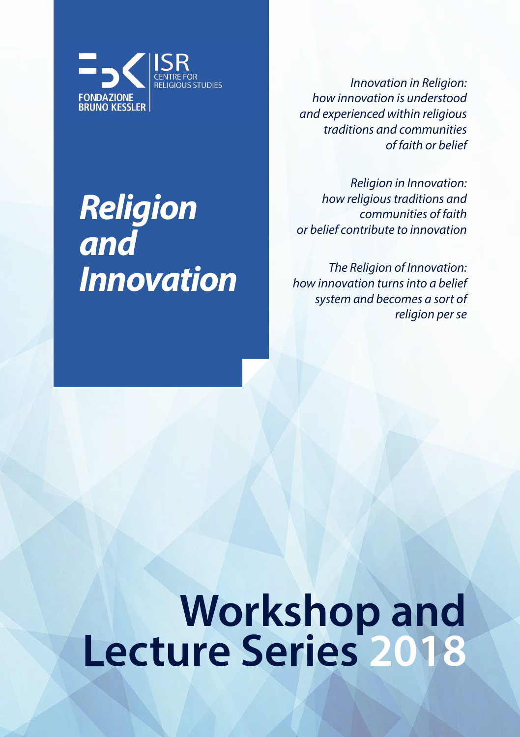

*Innovation in Religion: how innovation is understood and experienced within religious traditions and communities of faith or belief*

*Religion in Innovation: how religious traditions and communities of faith or belief contribute to innovation*

*The Religion of Innovation: how innovation turns into a belief system and becomes a sort of religion per se*

# **Workshop and Lecture Series <sup>2018</sup>**

## ISR and and *Religion Innovation*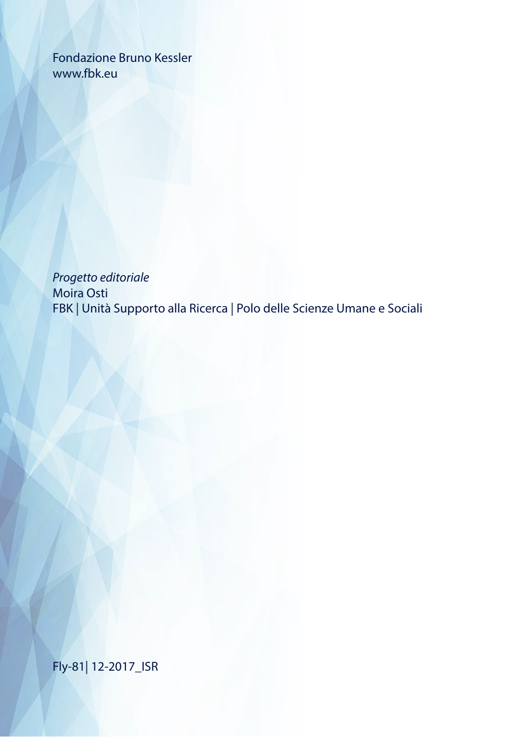Fondazione Bruno Kessler www.fbk.eu

*Progetto editoriale* Moira Osti FBK | Unità Supporto alla Ricerca | Polo delle Scienze Umane e Sociali

Fly-81| 12-2017\_ISR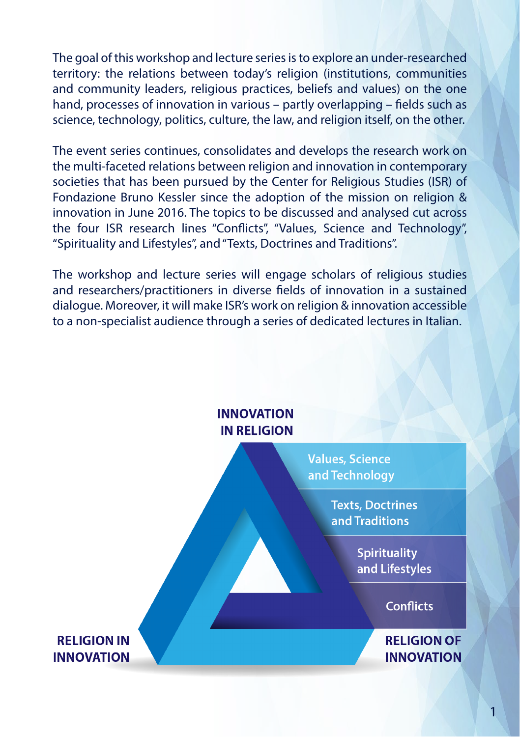The goal of this workshop and lecture series is to explore an under-researched territory: the relations between today's religion (institutions, communities and community leaders, religious practices, beliefs and values) on the one hand, processes of innovation in various – partly overlapping – fields such as science, technology, politics, culture, the law, and religion itself, on the other.

The event series continues, consolidates and develops the research work on the multi-faceted relations between religion and innovation in contemporary societies that has been pursued by the Center for Religious Studies (ISR) of Fondazione Bruno Kessler since the adoption of the mission on religion & innovation in June 2016. The topics to be discussed and analysed cut across the four ISR research lines "Conflicts", "Values, Science and Technology", "Spirituality and Lifestyles", and "Texts, Doctrines and Traditions".

The workshop and lecture series will engage scholars of religious studies and researchers/practitioners in diverse fields of innovation in a sustained dialogue. Moreover, it will make ISR's work on religion & innovation accessible to a non-specialist audience through a series of dedicated lectures in Italian.

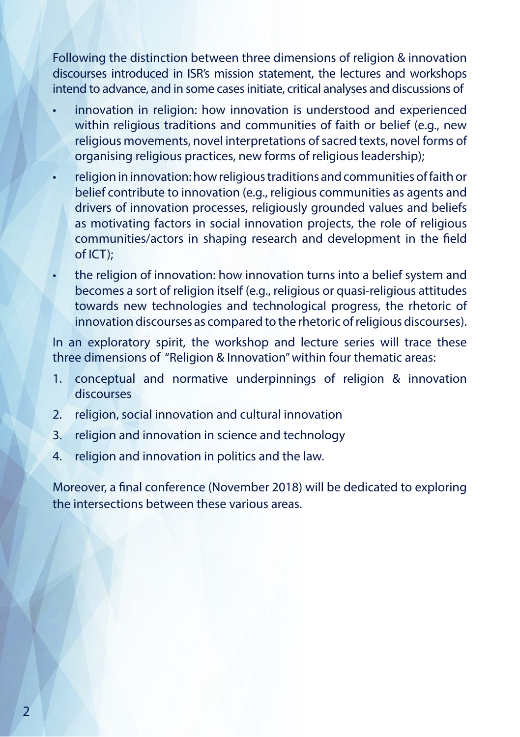Following the distinction between three dimensions of religion & innovation discourses introduced in ISR's mission statement, the lectures and workshops intend to advance, and in some cases initiate, critical analyses and discussions of

- innovation in religion: how innovation is understood and experienced within religious traditions and communities of faith or belief (e.g., new religious movements, novel interpretations of sacred texts, novel forms of organising religious practices, new forms of religious leadership);
- religion in innovation: how religious traditions and communities of faith or belief contribute to innovation (e.g., religious communities as agents and drivers of innovation processes, religiously grounded values and beliefs as motivating factors in social innovation projects, the role of religious communities/actors in shaping research and development in the field of ICT);
- the religion of innovation: how innovation turns into a belief system and becomes a sort of religion itself (e.g., religious or quasi-religious attitudes towards new technologies and technological progress, the rhetoric of innovation discourses as compared to the rhetoric of religious discourses).

In an exploratory spirit, the workshop and lecture series will trace these three dimensions of "Religion & Innovation" within four thematic areas:

- 1. conceptual and normative underpinnings of religion & innovation discourses
- 2. religion, social innovation and cultural innovation
- 3. religion and innovation in science and technology
- 4. religion and innovation in politics and the law.

Moreover, a final conference (November 2018) will be dedicated to exploring the intersections between these various areas.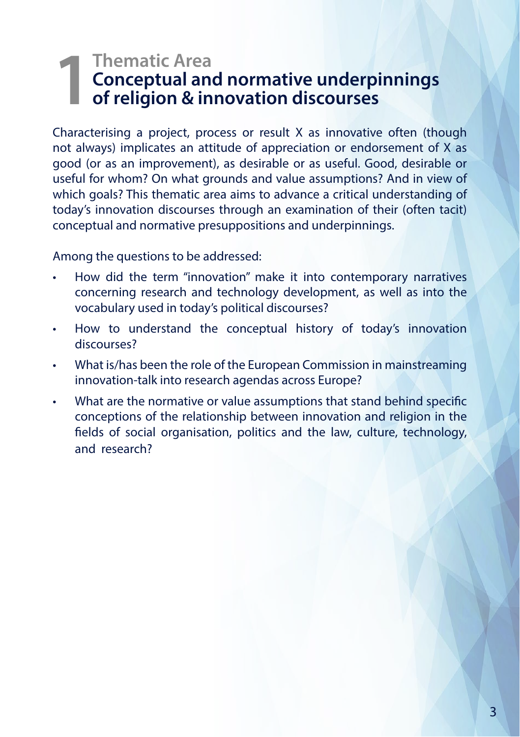# **1Thematic Area**<br>**1Thematic Area**<br>**1The Conceptual and<br><b>1The Preligion & in Conceptual and normative underpinnings of religion & innovation discourses**

Characterising a project, process or result X as innovative often (though not always) implicates an attitude of appreciation or endorsement of X as good (or as an improvement), as desirable or as useful. Good, desirable or useful for whom? On what grounds and value assumptions? And in view of which goals? This thematic area aims to advance a critical understanding of today's innovation discourses through an examination of their (often tacit) conceptual and normative presuppositions and underpinnings.

Among the questions to be addressed:

- How did the term "innovation" make it into contemporary narratives concerning research and technology development, as well as into the vocabulary used in today's political discourses?
- How to understand the conceptual history of today's innovation discourses?
- What is/has been the role of the European Commission in mainstreaming innovation-talk into research agendas across Europe?
- What are the normative or value assumptions that stand behind specific conceptions of the relationship between innovation and religion in the fields of social organisation, politics and the law, culture, technology, and research?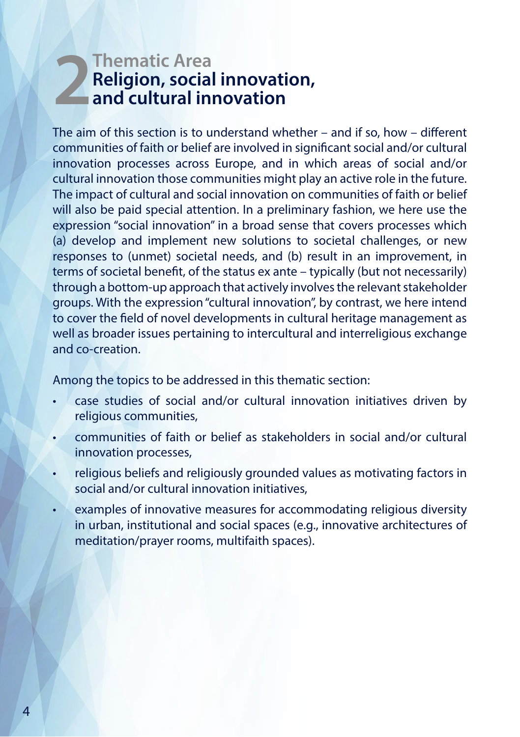# **2Thematic Area**<br>**Religion, social**<br>**and cultural in Religion, social innovation, and cultural innovation**

The aim of this section is to understand whether – and if so, how – different communities of faith or belief are involved in significant social and/or cultural innovation processes across Europe, and in which areas of social and/or cultural innovation those communities might play an active role in the future. The impact of cultural and social innovation on communities of faith or belief will also be paid special attention. In a preliminary fashion, we here use the expression "social innovation" in a broad sense that covers processes which (a) develop and implement new solutions to societal challenges, or new responses to (unmet) societal needs, and (b) result in an improvement, in terms of societal benefit, of the status ex ante – typically (but not necessarily) through a bottom-up approach that actively involves the relevant stakeholder groups. With the expression "cultural innovation", by contrast, we here intend to cover the field of novel developments in cultural heritage management as well as broader issues pertaining to intercultural and interreligious exchange and co-creation.

Among the topics to be addressed in this thematic section:

- case studies of social and/or cultural innovation initiatives driven by religious communities,
- communities of faith or belief as stakeholders in social and/or cultural innovation processes,
- religious beliefs and religiously grounded values as motivating factors in social and/or cultural innovation initiatives,
- examples of innovative measures for accommodating religious diversity in urban, institutional and social spaces (e.g., innovative architectures of meditation/prayer rooms, multifaith spaces).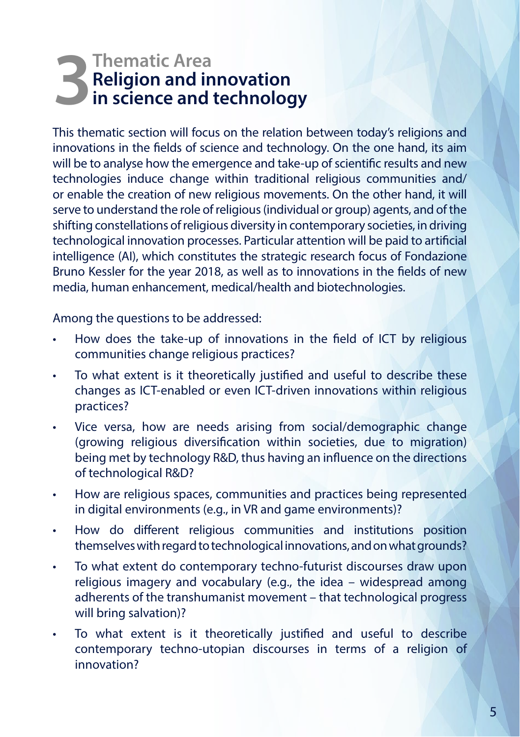# **3** Thematic Area<br>**1 Religion and in**<br>**in science and t Religion and innovation in science and technology**

This thematic section will focus on the relation between today's religions and innovations in the fields of science and technology. On the one hand, its aim will be to analyse how the emergence and take-up of scientific results and new technologies induce change within traditional religious communities and/ or enable the creation of new religious movements. On the other hand, it will serve to understand the role of religious (individual or group) agents, and of the shifting constellations of religious diversity in contemporary societies, in driving technological innovation processes. Particular attention will be paid to artificial intelligence (AI), which constitutes the strategic research focus of Fondazione Bruno Kessler for the year 2018, as well as to innovations in the fields of new media, human enhancement, medical/health and biotechnologies.

Among the questions to be addressed:

- How does the take-up of innovations in the field of ICT by religious communities change religious practices?
- To what extent is it theoretically justified and useful to describe these changes as ICT-enabled or even ICT-driven innovations within religious practices?
- Vice versa, how are needs arising from social/demographic change (growing religious diversification within societies, due to migration) being met by technology R&D, thus having an influence on the directions of technological R&D?
- How are religious spaces, communities and practices being represented in digital environments (e.g., in VR and game environments)?
- How do different religious communities and institutions position themselves with regard to technological innovations, and on what grounds?
- To what extent do contemporary techno-futurist discourses draw upon religious imagery and vocabulary (e.g., the idea – widespread among adherents of the transhumanist movement – that technological progress will bring salvation)?
- To what extent is it theoretically justified and useful to describe contemporary techno-utopian discourses in terms of a religion of innovation?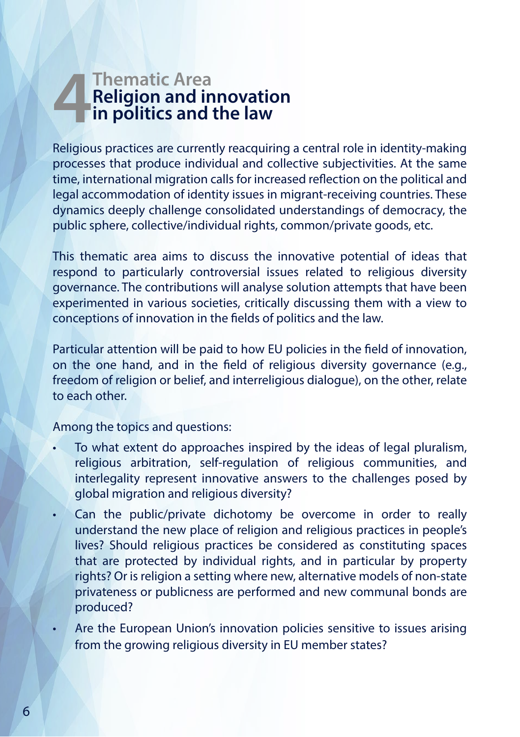# **4 Thematic Area<br>
Religion and in<br>
in politics and t Religion and innovation in politics and the law**

Religious practices are currently reacquiring a central role in identity-making processes that produce individual and collective subjectivities. At the same time, international migration calls for increased reflection on the political and legal accommodation of identity issues in migrant-receiving countries. These dynamics deeply challenge consolidated understandings of democracy, the public sphere, collective/individual rights, common/private goods, etc.

This thematic area aims to discuss the innovative potential of ideas that respond to particularly controversial issues related to religious diversity governance. The contributions will analyse solution attempts that have been experimented in various societies, critically discussing them with a view to conceptions of innovation in the fields of politics and the law.

Particular attention will be paid to how EU policies in the field of innovation, on the one hand, and in the field of religious diversity governance (e.g., freedom of religion or belief, and interreligious dialogue), on the other, relate to each other.

Among the topics and questions:

- To what extent do approaches inspired by the ideas of legal pluralism, religious arbitration, self-regulation of religious communities, and interlegality represent innovative answers to the challenges posed by global migration and religious diversity?
- Can the public/private dichotomy be overcome in order to really understand the new place of religion and religious practices in people's lives? Should religious practices be considered as constituting spaces that are protected by individual rights, and in particular by property rights? Or is religion a setting where new, alternative models of non-state privateness or publicness are performed and new communal bonds are produced?
- Are the European Union's innovation policies sensitive to issues arising from the growing religious diversity in EU member states?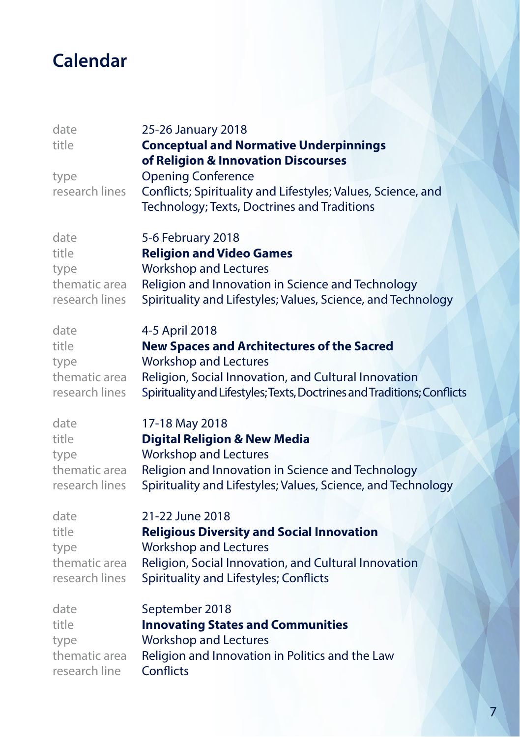# **Calendar**

| date<br>title<br>type<br>research lines | 25-26 January 2018<br><b>Conceptual and Normative Underpinnings</b><br>of Religion & Innovation Discourses<br><b>Opening Conference</b><br>Conflicts; Spirituality and Lifestyles; Values, Science, and<br>Technology; Texts, Doctrines and Traditions |
|-----------------------------------------|--------------------------------------------------------------------------------------------------------------------------------------------------------------------------------------------------------------------------------------------------------|
| date                                    | 5-6 February 2018                                                                                                                                                                                                                                      |
| title                                   | <b>Religion and Video Games</b>                                                                                                                                                                                                                        |
| type                                    | <b>Workshop and Lectures</b>                                                                                                                                                                                                                           |
| thematic area                           | Religion and Innovation in Science and Technology                                                                                                                                                                                                      |
| research lines                          | Spirituality and Lifestyles; Values, Science, and Technology                                                                                                                                                                                           |
| date                                    | 4-5 April 2018                                                                                                                                                                                                                                         |
| title                                   | <b>New Spaces and Architectures of the Sacred</b>                                                                                                                                                                                                      |
| type                                    | <b>Workshop and Lectures</b>                                                                                                                                                                                                                           |
| thematic area                           | Religion, Social Innovation, and Cultural Innovation                                                                                                                                                                                                   |
| research lines                          | Spirituality and Lifestyles; Texts, Doctrines and Traditions; Conflicts                                                                                                                                                                                |
| date                                    | 17-18 May 2018                                                                                                                                                                                                                                         |
| title                                   | <b>Digital Religion &amp; New Media</b>                                                                                                                                                                                                                |
| type                                    | <b>Workshop and Lectures</b>                                                                                                                                                                                                                           |
| thematic area                           | Religion and Innovation in Science and Technology                                                                                                                                                                                                      |
| research lines                          | Spirituality and Lifestyles; Values, Science, and Technology                                                                                                                                                                                           |
| date                                    | 21-22 June 2018                                                                                                                                                                                                                                        |
| title                                   | <b>Religious Diversity and Social Innovation</b>                                                                                                                                                                                                       |
| type                                    | <b>Workshop and Lectures</b>                                                                                                                                                                                                                           |
| thematic area                           | Religion, Social Innovation, and Cultural Innovation                                                                                                                                                                                                   |
| research lines                          | Spirituality and Lifestyles; Conflicts                                                                                                                                                                                                                 |
| date                                    | September 2018                                                                                                                                                                                                                                         |
| title                                   | <b>Innovating States and Communities</b>                                                                                                                                                                                                               |
| type                                    | <b>Workshop and Lectures</b>                                                                                                                                                                                                                           |
| thematic area                           | Religion and Innovation in Politics and the Law                                                                                                                                                                                                        |
| research line                           | Conflicts                                                                                                                                                                                                                                              |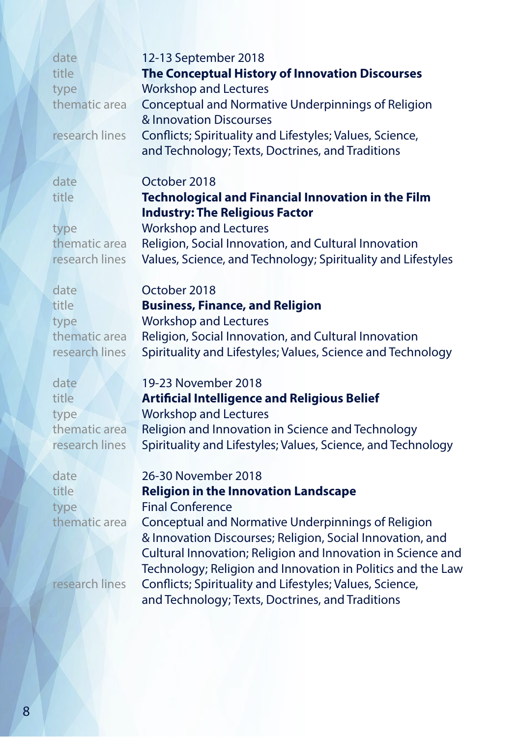| date  |                | 12-13 September 2018                                     |
|-------|----------------|----------------------------------------------------------|
| title |                | The Conceptual History of Innovation Discourses          |
| type  |                | <b>Workshop and Lectures</b>                             |
|       | thematic area  | Conceptual and Normative Underpinnings of Religion       |
|       |                | & Innovation Discourses                                  |
|       | research lines | Conflicts; Spirituality and Lifestyles; Values, Science, |
|       |                | and Technology; Texts, Doctrines, and Traditions         |

## dateOctober 2018 title**Technological and Financial Innovation in the Film Industry: The Religious Factor**

typeWorkshop and Lectures thematic area Religion, Social Innovation, and Cultural Innovation research lines Values, Science, and Technology; Spirituality and Lifestyles

dateOctober 2018

## title **Business, Finance, and Religion**

type Workshop and Lectures thematic area Religion, Social Innovation, and Cultural Innovation research lines Spirituality and Lifestyles; Values, Science and Technology

#### date 19-23 November 2018

### title **Artificial Intelligence and Religious Belief**

type Workshop and Lectures thematic area Religion and Innovation in Science and Technology research lines Spirituality and Lifestyles; Values, Science, and Technology

#### date 26-30 November 2018

## title **Religion in the Innovation Landscape**

type Final Conference thematic area Conceptual and Normative Underpinnings of Religion & Innovation Discourses; Religion, Social Innovation, and Cultural Innovation; Religion and Innovation in Science and Technology; Religion and Innovation in Politics and the Law research lines Conflicts; Spirituality and Lifestyles; Values, Science, and Technology; Texts, Doctrines, and Traditions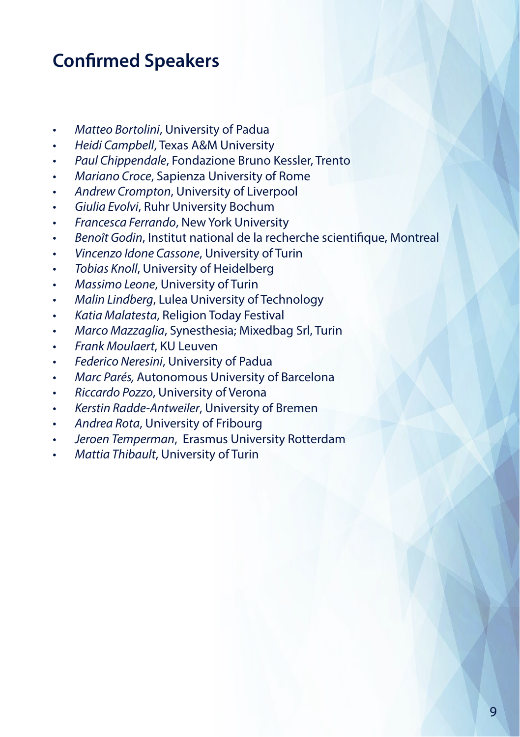## **Confirmed Speakers**

- *• Matteo Bortolini*, University of Padua
- *• Heidi Campbell*, Texas A&M University
- *• Paul Chippendale*, Fondazione Bruno Kessler, Trento
- *• Mariano Croce*, Sapienza University of Rome
- *• Andrew Crompton*, University of Liverpool
- *• Giulia Evolvi*, Ruhr University Bochum
- *• Francesca Ferrando*, New York University
- *• Benoît Godin*, Institut national de la recherche scientifique, Montreal
- *• Vincenzo Idone Cassone*, University of Turin
- *• Tobias Knoll*, University of Heidelberg
- *• Massimo Leone*, University of Turin
- *• Malin Lindberg*, Lulea University of Technology
- *• Katia Malatesta*, Religion Today Festival
- *• Marco Mazzaglia*, Synesthesia; Mixedbag Srl, Turin
- *• Frank Moulaert*, KU Leuven
- *• Federico Neresini*, University of Padua
- *• Marc Parés,* Autonomous University of Barcelona
- *• Riccardo Pozzo*, University of Verona
- *• Kerstin Radde-Antweiler*, University of Bremen
- *• Andrea Rota*, University of Fribourg
- *• Jeroen Temperman*, Erasmus University Rotterdam
- *• Mattia Thibault*, University of Turin